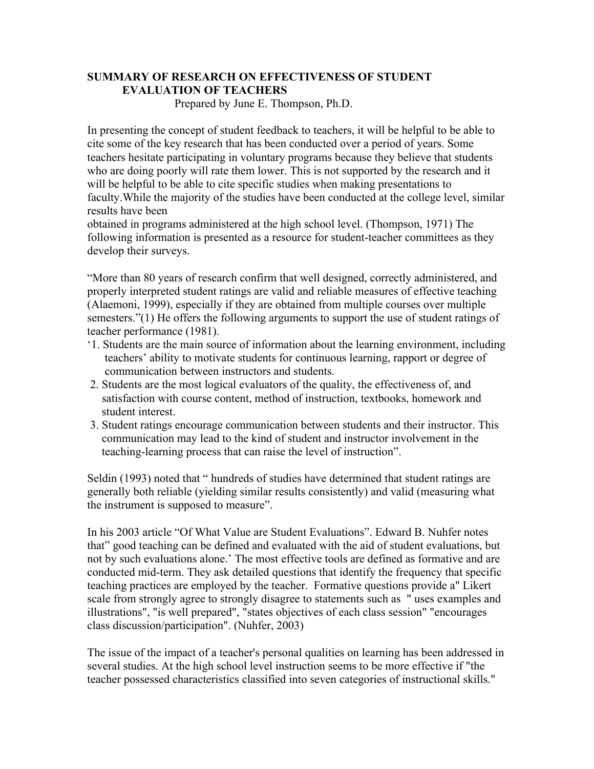## **SUMMARY OF RESEARCH ON EFFECTIVENESS OF STUDENT EVALUATION OF TEACHERS**

Prepared by June E. Thompson, Ph.D.

In presenting the concept of student feedback to teachers, it will be helpful to be able to cite some of the key research that has been conducted over a period of years. Some teachers hesitate participating in voluntary programs because they believe that students who are doing poorly will rate them lower. This is not supported by the research and it will be helpful to be able to cite specific studies when making presentations to faculty.While the majority of the studies have been conducted at the college level, similar results have been

obtained in programs administered at the high school level. (Thompson, 1971) The following information is presented as a resource for student-teacher committees as they develop their surveys.

"More than 80 years of research confirm that well designed, correctly administered, and properly interpreted student ratings are valid and reliable measures of effective teaching (Alaemoni, 1999), especially if they are obtained from multiple courses over multiple semesters."(1) He offers the following arguments to support the use of student ratings of teacher performance (1981).

- '1. Students are the main source of information about the learning environment, including teachers' ability to motivate students for continuous learning, rapport or degree of communication between instructors and students.
- 2. Students are the most logical evaluators of the quality, the effectiveness of, and satisfaction with course content, method of instruction, textbooks, homework and student interest.
- 3. Student ratings encourage communication between students and their instructor. This communication may lead to the kind of student and instructor involvement in the teaching-learning process that can raise the level of instruction".

Seldin (1993) noted that " hundreds of studies have determined that student ratings are generally both reliable (yielding similar results consistently) and valid (measuring what the instrument is supposed to measure".

In his 2003 article "Of What Value are Student Evaluations". Edward B. Nuhfer notes that" good teaching can be defined and evaluated with the aid of student evaluations, but not by such evaluations alone.' The most effective tools are defined as formative and are conducted mid-term. They ask detailed questions that identify the frequency that specific teaching practices are employed by the teacher. Formative questions provide a" Likert scale from strongly agree to strongly disagree to statements such as " uses examples and illustrations", "is well prepared", "states objectives of each class session" "encourages class discussion/participation". (Nuhfer, 2003)

The issue of the impact of a teacher's personal qualities on learning has been addressed in several studies. At the high school level instruction seems to be more effective if "the teacher possessed characteristics classified into seven categories of instructional skills."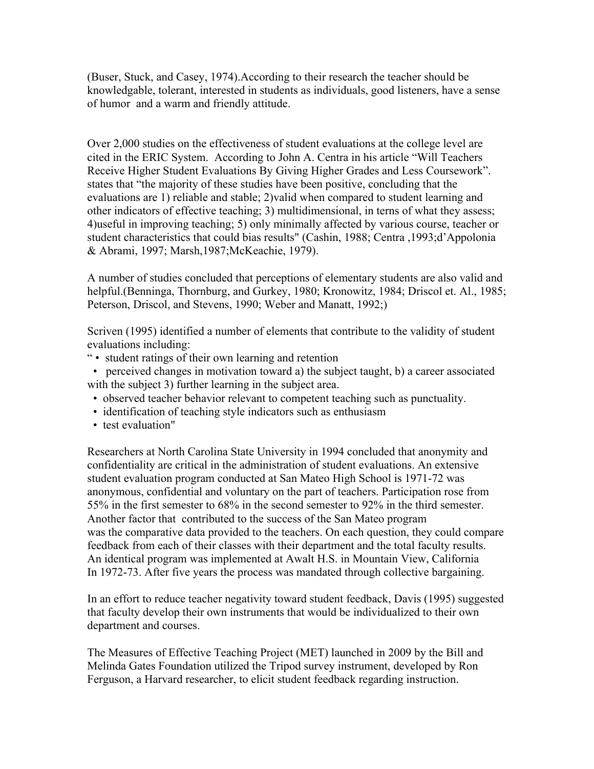(Buser, Stuck, and Casey, 1974).According to their research the teacher should be knowledgable, tolerant, interested in students as individuals, good listeners, have a sense of humor and a warm and friendly attitude.

Over 2,000 studies on the effectiveness of student evaluations at the college level are cited in the ERIC System. According to John A. Centra in his article "Will Teachers Receive Higher Student Evaluations By Giving Higher Grades and Less Coursework". states that "the majority of these studies have been positive, concluding that the evaluations are 1) reliable and stable; 2)valid when compared to student learning and other indicators of effective teaching; 3) multidimensional, in terns of what they assess; 4)useful in improving teaching; 5) only minimally affected by various course, teacher or student characteristics that could bias results" (Cashin, 1988; Centra ,1993;d'Appolonia & Abrami, 1997; Marsh,1987;McKeachie, 1979).

A number of studies concluded that perceptions of elementary students are also valid and helpful.(Benninga, Thornburg, and Gurkey, 1980; Kronowitz, 1984; Driscol et. Al., 1985; Peterson, Driscol, and Stevens, 1990; Weber and Manatt, 1992;)

Scriven (1995) identified a number of elements that contribute to the validity of student evaluations including:

" • student ratings of their own learning and retention

 • perceived changes in motivation toward a) the subject taught, b) a career associated with the subject 3) further learning in the subject area.

- observed teacher behavior relevant to competent teaching such as punctuality.
- identification of teaching style indicators such as enthusiasm
- test evaluation"

Researchers at North Carolina State University in 1994 concluded that anonymity and confidentiality are critical in the administration of student evaluations. An extensive student evaluation program conducted at San Mateo High School is 1971-72 was anonymous, confidential and voluntary on the part of teachers. Participation rose from 55% in the first semester to 68% in the second semester to 92% in the third semester. Another factor that contributed to the success of the San Mateo program was the comparative data provided to the teachers. On each question, they could compare feedback from each of their classes with their department and the total faculty results. An identical program was implemented at Awalt H.S. in Mountain View, California In 1972-73. After five years the process was mandated through collective bargaining.

In an effort to reduce teacher negativity toward student feedback, Davis (1995) suggested that faculty develop their own instruments that would be individualized to their own department and courses.

The Measures of Effective Teaching Project (MET) launched in 2009 by the Bill and Melinda Gates Foundation utilized the Tripod survey instrument, developed by Ron Ferguson, a Harvard researcher, to elicit student feedback regarding instruction.